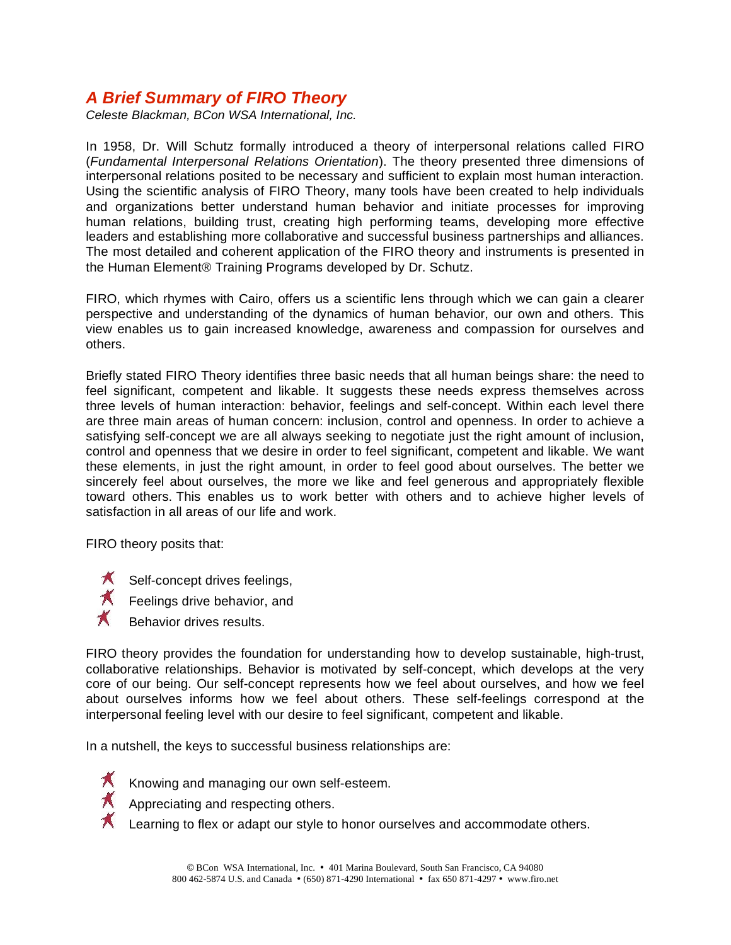# *A Brief Summary of FIRO Theory*

*Celeste Blackman, BCon WSA International, Inc.*

In 1958, Dr. Will Schutz formally introduced a theory of interpersonal relations called FIRO (*Fundamental Interpersonal Relations Orientation*). The theory presented three dimensions of interpersonal relations posited to be necessary and sufficient to explain most human interaction. Using the scientific analysis of FIRO Theory, many tools have been created to help individuals and organizations better understand human behavior and initiate processes for improving human relations, building trust, creating high performing teams, developing more effective leaders and establishing more collaborative and successful business partnerships and alliances. The most detailed and coherent application of the FIRO theory and instruments is presented in the Human Element® Training Programs developed by Dr. Schutz.

FIRO, which rhymes with Cairo, offers us a scientific lens through which we can gain a clearer perspective and understanding of the dynamics of human behavior, our own and others. This view enables us to gain increased knowledge, awareness and compassion for ourselves and others.

Briefly stated FIRO Theory identifies three basic needs that all human beings share: the need to feel significant, competent and likable. It suggests these needs express themselves across three levels of human interaction: behavior, feelings and self-concept. Within each level there are three main areas of human concern: inclusion, control and openness. In order to achieve a satisfying self-concept we are all always seeking to negotiate just the right amount of inclusion, control and openness that we desire in order to feel significant, competent and likable. We want these elements, in just the right amount, in order to feel good about ourselves. The better we sincerely feel about ourselves, the more we like and feel generous and appropriately flexible toward others. This enables us to work better with others and to achieve higher levels of satisfaction in all areas of our life and work.

FIRO theory posits that:

- $\bigstar$  Self-concept drives feelings,
- $\overrightarrow{A}$  Feelings drive behavior, and
	- Behavior drives results.

FIRO theory provides the foundation for understanding how to develop sustainable, high-trust, collaborative relationships. Behavior is motivated by self-concept, which develops at the very core of our being. Our self-concept represents how we feel about ourselves, and how we feel about ourselves informs how we feel about others. These self-feelings correspond at the interpersonal feeling level with our desire to feel significant, competent and likable.

In a nutshell, the keys to successful business relationships are:



- Knowing and managing our own self-esteem.
- 
- $\bigstar$  Appreciating and respecting others.
	- Learning to flex or adapt our style to honor ourselves and accommodate others.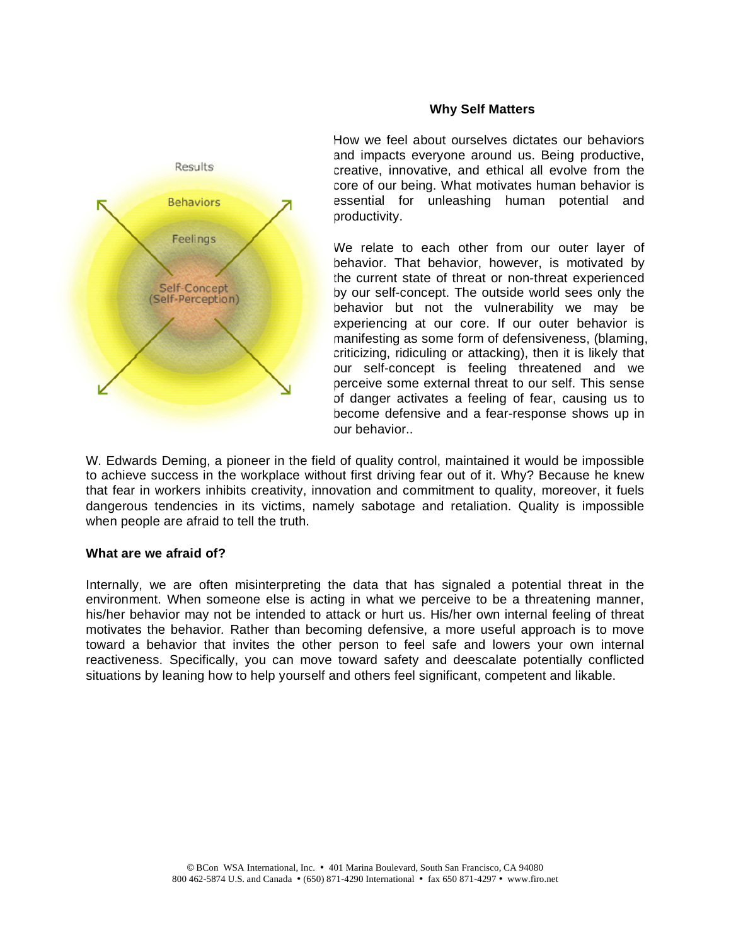

#### **Why Self Matters**

How we feel about ourselves dictates our behaviors and impacts everyone around us. Being productive, creative, innovative, and ethical all evolve from the core of our being. What motivates human behavior is essential for unleashing human potential and productivity.

We relate to each other from our outer layer of behavior. That behavior, however, is motivated by the current state of threat or non-threat experienced by our self-concept. The outside world sees only the behavior but not the vulnerability we may be experiencing at our core. If our outer behavior is manifesting as some form of defensiveness, (blaming, criticizing, ridiculing or attacking), then it is likely that our self-concept is feeling threatened and we perceive some external threat to our self. This sense of danger activates a feeling of fear, causing us to become defensive and a fear-response shows up in our behavior..

W. Edwards Deming, a pioneer in the field of quality control, maintained it would be impossible to achieve success in the workplace without first driving fear out of it. Why? Because he knew that fear in workers inhibits creativity, innovation and commitment to quality, moreover, it fuels dangerous tendencies in its victims, namely sabotage and retaliation. Quality is impossible when people are afraid to tell the truth.

#### **What are we afraid of?**

Internally, we are often misinterpreting the data that has signaled a potential threat in the environment. When someone else is acting in what we perceive to be a threatening manner, his/her behavior may not be intended to attack or hurt us. His/her own internal feeling of threat motivates the behavior*.* Rather than becoming defensive, a more useful approach is to move toward a behavior that invites the other person to feel safe and lowers your own internal reactiveness. Specifically, you can move toward safety and deescalate potentially conflicted situations by leaning how to help yourself and others feel significant, competent and likable.